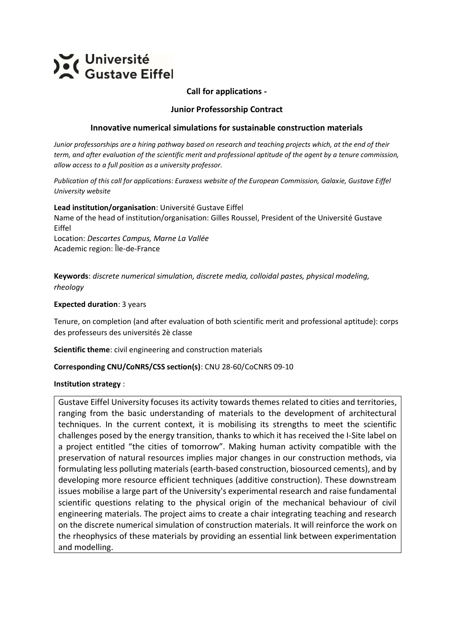

### **Call for applications -**

#### **Junior Professorship Contract**

#### **Innovative numerical simulations for sustainable construction materials**

*Junior professorships are a hiring pathway based on research and teaching projects which, at the end of their term, and after evaluation of the scientific merit and professional aptitude of the agent by a tenure commission, allow access to a full position as a university professor.*

*Publication of this call for applications: Euraxess website of the European Commission, Galaxie, Gustave Eiffel University website*

**Lead institution/organisation**: Université Gustave Eiffel Name of the head of institution/organisation: Gilles Roussel, President of the Université Gustave Eiffel

Location: *Descartes Campus, Marne La Vallée* Academic region: Île-de-France

**Keywords**: *discrete numerical simulation, discrete media, colloidal pastes, physical modeling, rheology* 

#### **Expected duration**: 3 years

Tenure, on completion (and after evaluation of both scientific merit and professional aptitude): corps des professeurs des universités 2è classe

**Scientific theme**: civil engineering and construction materials

#### **Corresponding CNU/CoNRS/CSS section(s)**: CNU 28-60/CoCNRS 09-10

#### **Institution strategy** :

Gustave Eiffel University focuses its activity towards themes related to cities and territories, ranging from the basic understanding of materials to the development of architectural techniques. In the current context, it is mobilising its strengths to meet the scientific challenges posed by the energy transition, thanks to which it has received the I-Site label on a project entitled "the cities of tomorrow". Making human activity compatible with the preservation of natural resources implies major changes in our construction methods, via formulating less polluting materials (earth-based construction, biosourced cements), and by developing more resource efficient techniques (additive construction). These downstream issues mobilise a large part of the University's experimental research and raise fundamental scientific questions relating to the physical origin of the mechanical behaviour of civil engineering materials. The project aims to create a chair integrating teaching and research on the discrete numerical simulation of construction materials. It will reinforce the work on the rheophysics of these materials by providing an essential link between experimentation and modelling.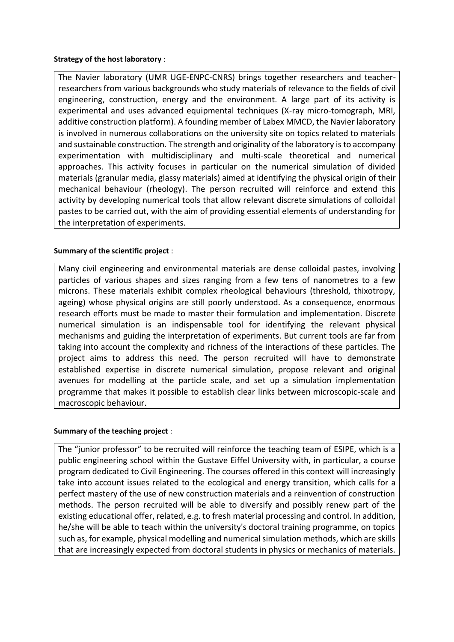### **Strategy of the host laboratory** :

The Navier laboratory (UMR UGE-ENPC-CNRS) brings together researchers and teacherresearchers from various backgrounds who study materials of relevance to the fields of civil engineering, construction, energy and the environment. A large part of its activity is experimental and uses advanced equipmental techniques (X-ray micro-tomograph, MRI, additive construction platform). A founding member of Labex MMCD, the Navier laboratory is involved in numerous collaborations on the university site on topics related to materials and sustainable construction. The strength and originality of the laboratory is to accompany experimentation with multidisciplinary and multi-scale theoretical and numerical approaches. This activity focuses in particular on the numerical simulation of divided materials (granular media, glassy materials) aimed at identifying the physical origin of their mechanical behaviour (rheology). The person recruited will reinforce and extend this activity by developing numerical tools that allow relevant discrete simulations of colloidal pastes to be carried out, with the aim of providing essential elements of understanding for the interpretation of experiments.

### **Summary of the scientific project** :

Many civil engineering and environmental materials are dense colloidal pastes, involving particles of various shapes and sizes ranging from a few tens of nanometres to a few microns. These materials exhibit complex rheological behaviours (threshold, thixotropy, ageing) whose physical origins are still poorly understood. As a consequence, enormous research efforts must be made to master their formulation and implementation. Discrete numerical simulation is an indispensable tool for identifying the relevant physical mechanisms and guiding the interpretation of experiments. But current tools are far from taking into account the complexity and richness of the interactions of these particles. The project aims to address this need. The person recruited will have to demonstrate established expertise in discrete numerical simulation, propose relevant and original avenues for modelling at the particle scale, and set up a simulation implementation programme that makes it possible to establish clear links between microscopic-scale and macroscopic behaviour.

### **Summary of the teaching project** :

The "junior professor" to be recruited will reinforce the teaching team of ESIPE, which is a public engineering school within the Gustave Eiffel University with, in particular, a course program dedicated to Civil Engineering. The courses offered in this context will increasingly take into account issues related to the ecological and energy transition, which calls for a perfect mastery of the use of new construction materials and a reinvention of construction methods. The person recruited will be able to diversify and possibly renew part of the existing educational offer, related, e.g. to fresh material processing and control. In addition, he/she will be able to teach within the university's doctoral training programme, on topics such as, for example, physical modelling and numerical simulation methods, which are skills that are increasingly expected from doctoral students in physics or mechanics of materials.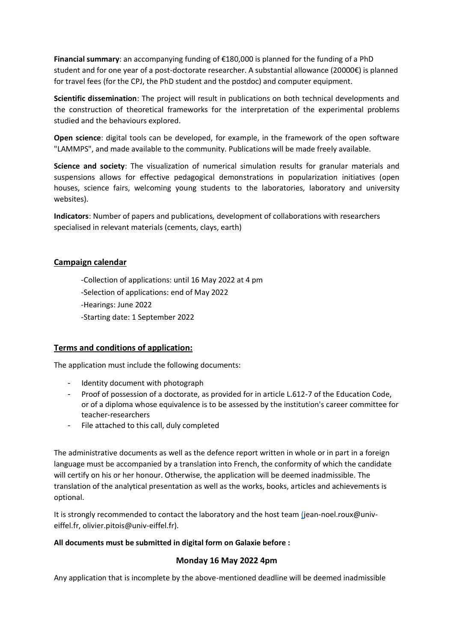**Financial summary**: an accompanying funding of €180,000 is planned for the funding of a PhD student and for one year of a post-doctorate researcher. A substantial allowance (20000€) is planned for travel fees (for the CPJ, the PhD student and the postdoc) and computer equipment.

**Scientific dissemination**: The project will result in publications on both technical developments and the construction of theoretical frameworks for the interpretation of the experimental problems studied and the behaviours explored.

**Open science**: digital tools can be developed, for example, in the framework of the open software "LAMMPS", and made available to the community. Publications will be made freely available.

**Science and society**: The visualization of numerical simulation results for granular materials and suspensions allows for effective pedagogical demonstrations in popularization initiatives (open houses, science fairs, welcoming young students to the laboratories, laboratory and university websites).

**Indicators**: Number of papers and publications*,* development of collaborations with researchers specialised in relevant materials (cements, clays, earth)

### **Campaign calendar**

- -Collection of applications: until 16 May 2022 at 4 pm
- -Selection of applications: end of May 2022
- -Hearings: June 2022
- -Starting date: 1 September 2022

### **Terms and conditions of application:**

The application must include the following documents:

- Identity document with photograph
- Proof of possession of a doctorate, as provided for in article L.612-7 of the Education Code, or of a diploma whose equivalence is to be assessed by the institution's career committee for teacher-researchers
- File attached to this call, duly completed

The administrative documents as well as the defence report written in whole or in part in a foreign language must be accompanied by a translation into French, the conformity of which the candidate will certify on his or her honour. Otherwise, the application will be deemed inadmissible. The translation of the analytical presentation as well as the works, books, articles and achievements is optional.

It is strongly recommended to contact the laboratory and the host team [\(j](mailto:jean-noel.roux@univ-eiffel.fr)ean-noel.roux@univeiffel.fr, olivier.pitois@univ-eiffel.fr).

#### **All documents must be submitted in digital form on Galaxie before :**

#### **Monday 16 May 2022 4pm**

Any application that is incomplete by the above-mentioned deadline will be deemed inadmissible